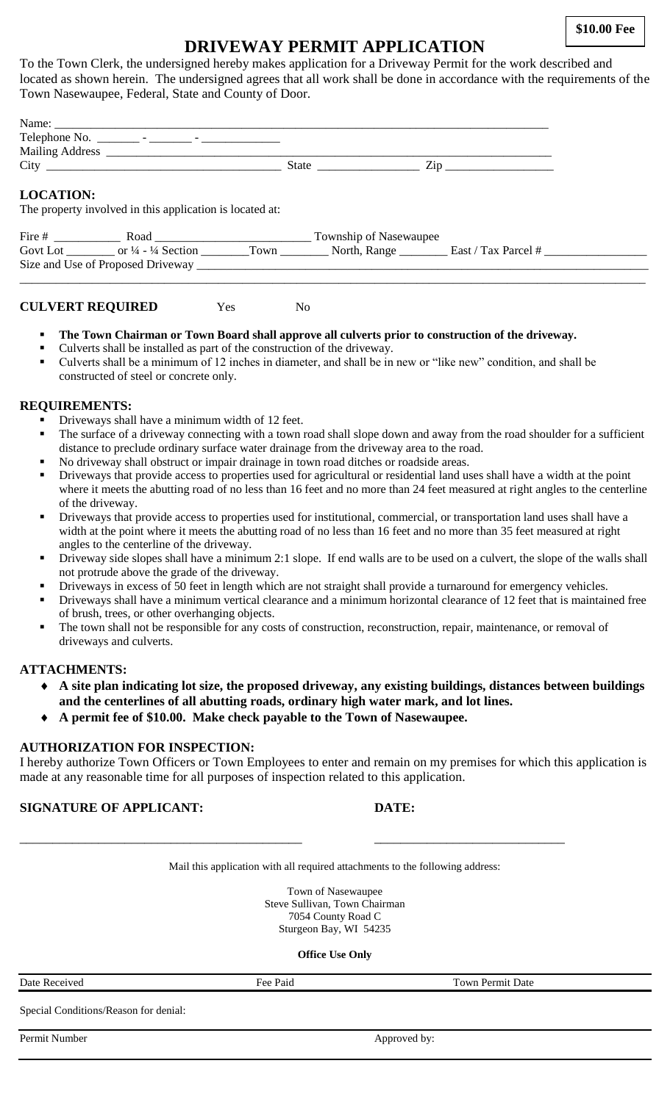**\$10.00 Fee**

# **DRIVEWAY PERMIT APPLICATION**

To the Town Clerk, the undersigned hereby makes application for a Driveway Permit for the work described and located as shown herein. The undersigned agrees that all work shall be done in accordance with the requirements of the Town Nasewaupee, Federal, State and County of Door.

|                  |                                                          | State | $\overline{\mathrm{Zip}}$ |  |
|------------------|----------------------------------------------------------|-------|---------------------------|--|
| <b>LOCATION:</b> | The property involved in this application is located at: |       |                           |  |
| Fire #           | Road                                                     |       | Township of Nasewaupee    |  |

\_\_\_\_\_\_\_\_\_\_\_\_\_\_\_\_\_\_\_\_\_\_\_\_\_\_\_\_\_\_\_\_\_\_\_\_\_\_\_\_\_\_\_\_\_\_\_\_\_\_\_\_\_\_\_\_\_\_\_\_\_\_\_\_\_\_\_\_\_\_\_\_\_\_\_\_\_\_\_\_\_\_\_\_\_\_\_\_\_\_\_\_\_\_\_\_\_\_\_\_\_\_\_\_

Govt Lot \_\_\_\_\_\_\_\_ or ¼ - ¼ Section \_\_\_\_\_\_\_\_Town \_\_\_\_\_\_\_\_\_ North, Range \_\_\_\_\_\_\_\_\_ East / Tax Parcel # \_\_\_\_\_\_\_\_\_\_\_\_\_\_\_ Size and Use of Proposed Driveway \_\_\_\_\_\_\_\_\_\_\_\_\_\_\_\_\_\_\_\_\_\_\_\_\_\_\_\_\_\_\_\_\_\_\_\_\_\_\_\_\_\_\_\_\_\_\_\_\_\_\_\_\_\_\_\_\_\_\_\_\_\_\_\_\_\_\_\_\_\_\_\_\_\_\_

**CULVERT REQUIRED** Yes No

- **The Town Chairman or Town Board shall approve all culverts prior to construction of the driveway.**
- Culverts shall be installed as part of the construction of the driveway.
- Culverts shall be a minimum of 12 inches in diameter, and shall be in new or "like new" condition, and shall be constructed of steel or concrete only.

#### **REQUIREMENTS:**

- Driveways shall have a minimum width of 12 feet.
- The surface of a driveway connecting with a town road shall slope down and away from the road shoulder for a sufficient distance to preclude ordinary surface water drainage from the driveway area to the road.
- No driveway shall obstruct or impair drainage in town road ditches or roadside areas.
- Driveways that provide access to properties used for agricultural or residential land uses shall have a width at the point where it meets the abutting road of no less than 16 feet and no more than 24 feet measured at right angles to the centerline of the driveway.
- Driveways that provide access to properties used for institutional, commercial, or transportation land uses shall have a width at the point where it meets the abutting road of no less than 16 feet and no more than 35 feet measured at right angles to the centerline of the driveway.
- Driveway side slopes shall have a minimum 2:1 slope. If end walls are to be used on a culvert, the slope of the walls shall not protrude above the grade of the driveway.
- Driveways in excess of 50 feet in length which are not straight shall provide a turnaround for emergency vehicles.
- Driveways shall have a minimum vertical clearance and a minimum horizontal clearance of 12 feet that is maintained free of brush, trees, or other overhanging objects.
- The town shall not be responsible for any costs of construction, reconstruction, repair, maintenance, or removal of driveways and culverts.

### **ATTACHMENTS:**

- **A site plan indicating lot size, the proposed driveway, any existing buildings, distances between buildings and the centerlines of all abutting roads, ordinary high water mark, and lot lines.**
- **A permit fee of \$10.00. Make check payable to the Town of Nasewaupee.**

### **AUTHORIZATION FOR INSPECTION:**

I hereby authorize Town Officers or Town Employees to enter and remain on my premises for which this application is made at any reasonable time for all purposes of inspection related to this application.

### **SIGNATURE OF APPLICANT: DATE:**

Mail this application with all required attachments to the following address:

\_\_\_\_\_\_\_\_\_\_\_\_\_\_\_\_\_\_\_\_\_\_\_\_\_\_\_\_\_\_\_\_\_\_\_\_\_\_\_\_\_\_\_ \_\_\_\_\_\_\_\_\_\_\_\_\_\_\_\_\_\_\_\_\_\_\_\_\_\_\_\_\_

Town of Nasewaupee Steve Sullivan, Town Chairman 7054 County Road C Sturgeon Bay, WI 54235

**Office Use Only**

| Date Received                         | Fee Paid | <b>Town Permit Date</b> |
|---------------------------------------|----------|-------------------------|
| Special Conditions/Reason for denial: |          |                         |
| Permit Number                         |          | Approved by:            |